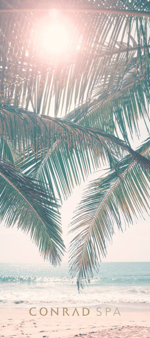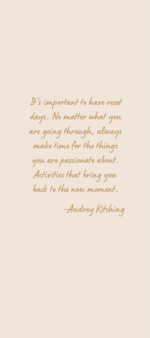It' s important to have reset days. No matter what you are going through, always make time for the things you are passionate about. Activities that bring you back to the now moment.

-Audrey Kitching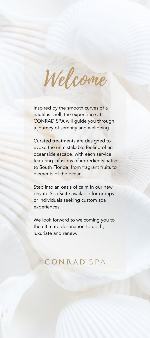Welcome

Inspired by the smooth curves of a nautilus shell, the experience at CONRAD SPA will guide you through a journey of serenity and wellbeing.

Curated treatments are designed to evoke the unmistakable feeling of an oceanside escape, with each service featuring infusions of ingredients native to South Florida, from fragrant fruits to elements of the ocean.

Step into an oasis of calm in our new private Spa Suite available for groups or individuals seeking custom spa experiences.

We look forward to welcoming you to the ultimate destination to uplift, luxuriate and renew.

# **CONRAD SPA**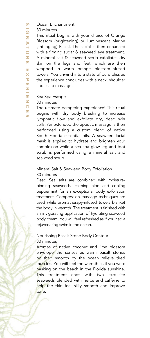Ocean Enchantment **S** 

80 minutes I G

A T  $\subset$  .  $\overline{\mathbf{x}}$ E E  $\overline{\mathsf{x}}$  $\overline{\mathbf{v}}$ E  $\overline{\mathbf{x}}$ **In the United States** E

E  $\overline{S}$ 

This ritual begins with your choice of Orange Blossom (brightening) or Luminescent Marine (anti-aging) Facial. The facial is then enhanced with a firming sugar & seaweed eye treatment. A mineral salt & seaweed scrub exfoliates dry skin on the legs and feet, which are then wrapped in warm orange blossom-infused towels. You unwind into a state of pure bliss as the experience concludes with a neck, shoulder and scalp massage. Z.

# Sea Spa Escape

80 minutes Z  $\Omega$ 

The ultimate pampering experience! This ritual begins with dry body brushing to increase lymphatic flow and exfoliate dry, dead skin cells. An extended therapeutic massage is then performed using a custom blend of native South Florida essential oils. A seaweed facial mask is applied to hydrate and brighten your complexion while a sea spa glow leg and foot scrub is performed using a mineral salt and seaweed scrub.

Mineral Salt & Seaweed Body Exfoliation 80 minutes

Dead Sea salts are combined with moisturebinding seaweeds, calming aloe and cooling peppermint for an exceptional body exfoliation treatment. Compression massage techniques are used while aromatherapy-infused towels blanket the body in warmth. The treatment is finished with an invigorating application of hydrating seaweed body cream. You will feel refreshed as if you had a rejuvenating swim in the ocean.

# Nourishing Basalt Stone Body Contour 80 minutes

Aromas of native coconut and lime blossom envelope the senses as warm basalt stones polished smooth by the ocean relieve tired muscles. You will feel the warmth as if you were basking on the beach in the Florida sunshine. This treatment ends with two exquisite seaweeds blended with herbs and caffeine to help the skin feel silky smooth and improve tone.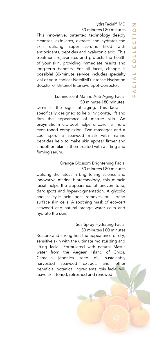HydraFacial<sup>®</sup> MD

50 minutes | 80 minutes

This innovative, patented technology deeply cleanses, exfoliates, extracts and hydrates the skin utilizing super serums filled with antioxidants, peptides and hyaluronic acid. This treatment rejuvenates and protects the health of your skin, providing immediate results and long-term benefits. For all faces, change is possible! 80-minute service includes specialty vial of your choice: NassifMD Intense Hydration Booster or Britenol Intensive Spot Corrector.

# Luminescent Marine Anti-Aging Facial 50 minutes | 80 minutes

Diminish the signs of aging. This facial is specifically designed to help invigorate, lift and firm the appearance of mature skin. An enzymatic micro-peel helps uncover a more even-toned complexion. Two massages and a cool spirulina seaweed mask with marine peptides help to make skin appear firmer and smoother. Skin is then treated with a lifting and firming serum.

> Orange Blossom Brightening Facial 50 minutes | 80 minutes

Utilizing the latest in brightening science and innovative marine biotechnology, this miracle facial helps the appearance of uneven tone, dark spots and hyper-pigmentation. A glycolic and salicylic acid peel removes dull, dead surface skin cells. A soothing mask of eco-cert seaweed and natural orange water calm and hydrate the skin.

> Sea Spray Hydrating Facial 50 minutes | 80 minutes

Restore and strengthen the appearance of dry, sensitive skin with the ultimate moisturizing and lifting facial. Formulated with natural Mastic water from the Aegean Island of Chios, Camellia japonica seed oil, sustainably harvested seaweed extract, and other beneficial botanical ingredients, this facial will leave skin toned, refreshed and renewed.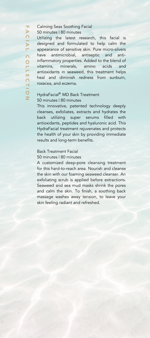F **A**  $\Omega$  $\overline{\triangleright}$ L  $\overline{C}$ O L L E n. T I O

#### Calming Seas Soothing Facial 50 minutes | 80 minutes

Utilizing the latest research, this facial is designed and formulated to help calm the appearance of sensitive skin. Pure micro-silvers have antimicrobial, antiseptic and antiinflammatory properties. Added to the blend of vitamins, minerals, amino acids and antioxidants in seaweed, this treatment helps heal and diminish redness from sunburn, rosacea, and eczema.

# HydraFacial® MD Back Treatment

50 minutes | 80 minutes

This innovative, patented technology deeply cleanses, exfoliates, extracts and hydrates the back utilizing super serums filled with antioxidants, peptides and hyaluronic acid. This HydraFacial treatment rejuvenates and protects the health of your skin by providing immediate results and long-term benefits.

#### Back Treatment Facial

#### 50 minutes | 80 minutes

A customized deep-pore cleansing treatment for this hard-to-reach area. Nourish and cleanse the skin with our foaming seaweed cleanser. An exfoliating scrub is applied before extractions. Seaweed and sea mud masks shrink the pores and calm the skin. To finish, a soothing back massage washes away tension, to leave your skin feeling radiant and refreshed.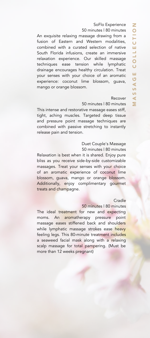50 minutes | 80 minutes

An exquisite relaxing massage drawing from a fusion of Eastern and Western modalities, combined with a curated selection of native South Florida infusions, create an immersive relaxation experience. Our skilled massage techniques ease tension while lymphatic drainage encourages healthy circulation. Treat your senses with your choice of an aromatic experience: coconut lime blossom, guava, mango or orange blossom.

#### Recover

50 minutes | 80 minutes

This intense and restorative massage eases stiff, tight, aching muscles. Targeted deep tissue and pressure point massage techniques are combined with passive stretching to instantly release pain and tension.

#### Duet Couple's Massage 50 minutes | 80 minutes

Relaxation is best when it is shared. Enjoy pure bliss as you receive side-by-side customizable massages. Treat your senses with your choice of an aromatic experience of coconut lime blossom, guava, mango or orange blossom. Additionally, enjoy complimentary gourmet treats and champagne.

#### **Cradle**

50 minutes | 80 minutes

The ideal treatment for new and expecting moms. An aromatherapy pressure point massage eases stiffened back and shoulders while lymphatic massage strokes ease heavy feeling legs. This 80-minute treatment includes a seaweed facial mask along with a relaxing scalp massage for total pampering. (Must be more than 12 weeks pregnant)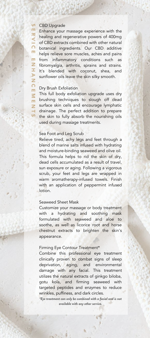#### CBD Upgrade m.

 $\overline{S}$ 

 $\overline{\mathbf{x}}$  $\overline{\phantom{a}}$ I  $\Omega$ m. E N H A Z  $\overline{O}$ E M m. z  $\overline{\mathsf{S}}$ 

Enhance your massage experience with the healing and regenerative powers of 400mg of CBD extracts combined with other natural botanical ingredients. Our CBD additive helps relieve sore muscles, aches and pains from inflammatory conditions such as fibromyalgia, arthritis, sprains and strains. It's blended with coconut, shea, and sunflower oils leave the skin silky smooth.

## Dry Brush Exfoliation

This full body exfoliation upgrade uses dry brushing techniques to slough off dead surface skin cells and encourage lymphatic  $\blacksquare$  drainage. The perfect addition to prepare the skin to fully absorb the nourishing oils used during massage treatments.

## Sea Foot and Leg Scrub

Relieve tired, achy legs and feet through a blend of marine salts infused with hydrating and moisture-binding seaweed and olive oil. This formula helps to rid the skin of dry, dead cells accumulated as a result of travel, sun exposure or aging. Following a vigorous scrub, your feet and legs are wrapped in warm aromatherapy-infused towels. Finish with an application of peppermint infused lotion.

#### Seaweed Sheet Mask

Customize your massage or body treatment with a hydrating and soothing mask formulated with seaweed and aloe to soothe, as well as licorice root and horse chestnut extracts to brighten the skin's appearance.

#### Firming Eye Contour Treatment\*

Combine this professional eye treatment clinically proven to combat signs of sleep deprivation, aging, and environmental damage with any facial. This treatment utilizes the natural extracts of ginkgo biloba, gotu kola, and firming seaweed with targeted peptides and enzymes to reduce wrinkles, puffiness, and dark circles.

*\*Eye treatment can only be combined with a facial and is not available with any other service.*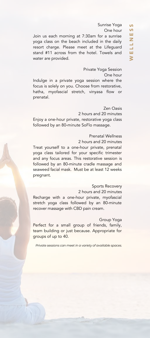#### Sunrise Yoga M

One hour

Join us each morning at 7:30am for a sunrise yoga class on the beach included in the daily resort charge. Please meet at the Lifeguard stand #11 across from the hotel. Towels and water are provided.

#### Private Yoga Session

One hour

Indulge in a private yoga session where the focus is solely on you. Choose from restorative, hatha, myofascial stretch, vinyasa flow or prenatal.

Zen Oasis 2 hours and 20 minutes Enjoy a one-hour private, restorative yoga class followed by an 80-minute SoFlo massage.

## Prenatal Wellness

2 hours and 20 minutes Treat yourself to a one-hour private, prenatal yoga class tailored for your specific trimester and any focus areas. This restorative session is followed by an 80-minute cradle massage and seaweed facial mask. Must be at least 12 weeks pregnant.

#### Sports Recovery

2 hours and 20 minutes Recharge with a one-hour private, myofascial stretch yoga class followed by an 80-minute recover massage with CBD pain cream.

#### Group Yoga

Perfect for a small group of friends, family, team building or just because. Appropriate for groups of up to 40.

*Private sessions can meet in a variety of available spaces.*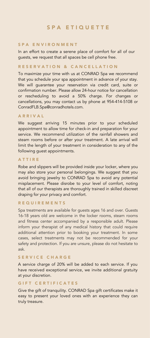# S P A **F T I Q U F T T F**

# S P A E N V I R O N M E N T

In an effort to create a serene place of comfort for all of our guests, we request that all spaces be cell phone free.

# RESERVATION & CANCELLATION

To maximize your time with us at CONRAD Spa we recommend that you schedule your spa appointment in advance of your stay. We will guarantee your reservation via credit card, suite or confirmation number. Please allow 24-hour notice for cancellation or rescheduling to avoid a 50% charge. For changes or cancellations, you may contact us by phone at 954-414-5108 or ConradFLB.Spa@conradhotels.com.

# A R R I V A L

We suggest arriving 15 minutes prior to your scheduled appointment to allow time for check-in and preparation for your service. We recommend utilization of the rainfall showers and steam rooms before or after your treatment. A late arrival will limit the length of your treatment in consideration to any of the following guest appointments.

# A T T I R E

Robe and slippers will be provided inside your locker, where you may also store your personal belongings. We suggest that you avoid bringing jewelry to CONRAD Spa to avoid any potential misplacement. Please disrobe to your level of comfort, noting that all of our therapists are thoroughly trained in skilled discreet draping for your privacy and comfort.

# **REQUIREMENTS**

Spa treatments are available for guests ages 16 and over. Guests 16-18 years old are welcome in the locker rooms, steam rooms and fitness center accompanied by a responsible adult. Please inform your therapist of any medical history that could require additional attention prior to booking your treatment. In some cases, select treatments may not be recommended for your safety and protection. If you are unsure, please do not hesitate to ask.

# SERVICE CHARGE

A service charge of 20% will be added to each service. If you have received exceptional service, we invite additional gratuity at your discretion.

#### GIFT CERTIFICATES

Give the gift of tranquility. CONRAD Spa gift certificates make it easy to present your loved ones with an experience they can truly treasure.